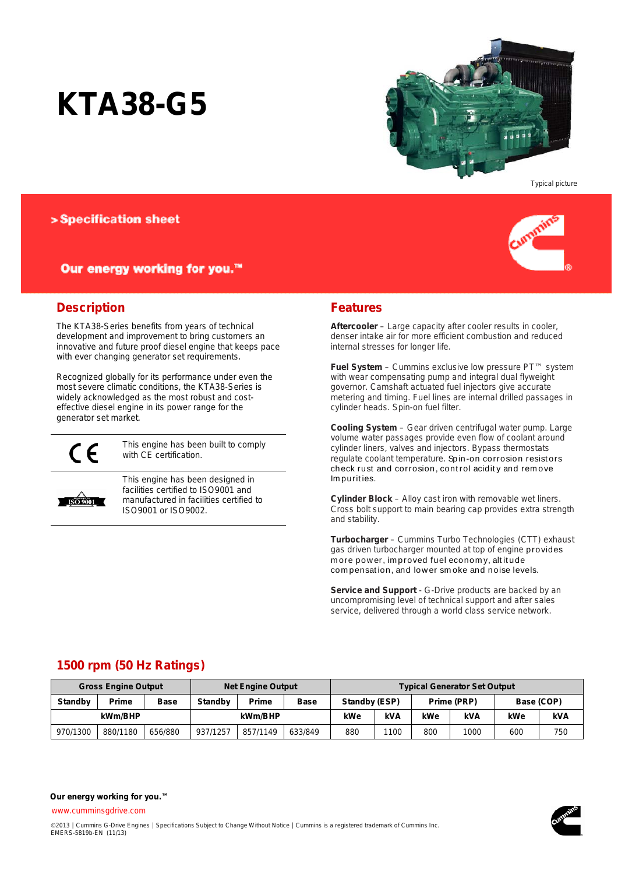# **KTA38-G5**



Typical picture

### > Specification sheet

### Our energy working for you.™



### **Description**

The KTA38-Series benefits from years of technical development and improvement to bring customers an innovative and future proof diesel engine that keeps pace with ever changing generator set requirements.

Recognized globally for its performance under even the most severe climatic conditions, the KTA38-Series is widely acknowledged as the most robust and costeffective diesel engine in its power range for the generator set market.



This engine has been built to comply with CE certification.



This engine has been designed in facilities certified to ISO9001 and manufactured in facilities certified to ISO9001 or ISO9002.

#### **Features**

**Aftercooler** – Large capacity after cooler results in cooler, denser intake air for more efficient combustion and reduced internal stresses for longer life.

**Fuel System** – Cummins exclusive low pressure PT™ system with wear compensating pump and integral dual flyweight governor. Camshaft actuated fuel injectors give accurate metering and timing. Fuel lines are internal drilled passages in cylinder heads. Spin-on fuel filter.

**Cooling System** – Gear driven centrifugal water pump. Large volume water passages provide even flow of coolant around cylinder liners, valves and injectors. Bypass thermostats regulate coolant temperature. Spin-on corrosion resist ors check rust and corrosion, control acidity and remove Im purit ies.

**Cylinder Block** – Alloy cast iron with removable wet liners. Cross bolt support to main bearing cap provides extra strength and stability.

**Turbocharger** – Cummins Turbo Technologies (CTT) exhaust gas driven turbocharger mounted at top of engine provides more power, improved fuel economy, altitude com pensat ion, and low er sm oke and noise levels.

**Service and Support** - G-Drive products are backed by an uncompromising level of technical support and after sales service, delivered through a world class service network.

### **1500 rpm (50 Hz Ratings)**

|                | <b>Gross Engine Output</b><br><b>Net Engine Output</b> |             |                | <b>Typical Generator Set Output</b> |             |               |      |             |      |            |     |
|----------------|--------------------------------------------------------|-------------|----------------|-------------------------------------|-------------|---------------|------|-------------|------|------------|-----|
| <b>Standby</b> | Prime                                                  | <b>Base</b> | <b>Standby</b> | Prime                               | <b>Base</b> | Standby (ESP) |      | Prime (PRP) |      | Base (COP) |     |
| kWm/BHP        |                                                        |             | kWm/BHP        |                                     | kWe         | <b>kVA</b>    | kWe  | kVA         | kWe  | kVA        |     |
| 970/1300       | 880/1180                                               | 656/880     | 937/1257       | 857/1149                            | 633/849     | 880           | 1100 | 800         | 1000 | 600        | 750 |

[www.cumminsgdrive.com](http://www.cumminsgdrive.com/)